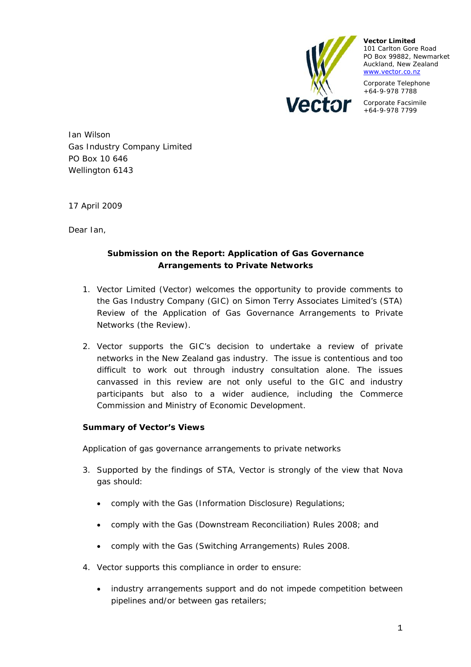

**Vector Limited**  101 Carlton Gore Road PO Box 99882, Newmarket Auckland, New Zealand www.vector.co.nz

Corporate Telephone +64-9-978 7788

Corporate Facsimile +64-9-978 7799

Ian Wilson Gas Industry Company Limited PO Box 10 646 Wellington 6143

17 April 2009

Dear Ian,

# **Submission on the Report: Application of Gas Governance Arrangements to Private Networks**

- 1. Vector Limited (Vector) welcomes the opportunity to provide comments to the Gas Industry Company (GIC) on Simon Terry Associates Limited's (STA) Review of the Application of Gas Governance Arrangements to Private Networks (the Review).
- 2. Vector supports the GIC's decision to undertake a review of private networks in the New Zealand gas industry. The issue is contentious and too difficult to work out through industry consultation alone. The issues canvassed in this review are not only useful to the GIC and industry participants but also to a wider audience, including the Commerce Commission and Ministry of Economic Development.

# **Summary of Vector's Views**

*Application of gas governance arrangements to private networks* 

- 3. Supported by the findings of STA, Vector is strongly of the view that Nova gas should:
	- comply with the Gas (Information Disclosure) Regulations;
	- comply with the Gas (Downstream Reconciliation) Rules 2008; and
	- comply with the Gas (Switching Arrangements) Rules 2008.
- 4. Vector supports this compliance in order to ensure:
	- industry arrangements support and do not impede competition between pipelines and/or between gas retailers;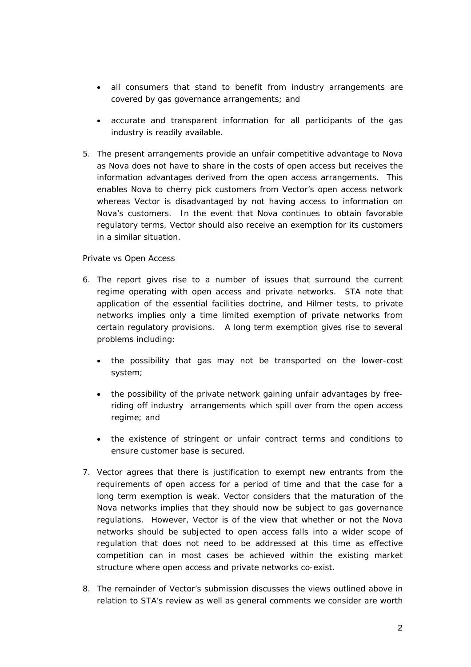- all consumers that stand to benefit from industry arrangements are covered by gas governance arrangements; and
- accurate and transparent information for all participants of the gas industry is readily available.
- 5. The present arrangements provide an unfair competitive advantage to Nova as Nova does not have to share in the costs of open access but receives the information advantages derived from the open access arrangements. This enables Nova to cherry pick customers from Vector's open access network whereas Vector is disadvantaged by not having access to information on Nova's customers. In the event that Nova continues to obtain favorable regulatory terms, Vector should also receive an exemption for its customers in a similar situation.

### *Private vs Open Access*

- 6. The report gives rise to a number of issues that surround the current regime operating with open access and private networks. STA note that application of the essential facilities doctrine, and Hilmer tests, to private networks implies only a time limited exemption of private networks from certain regulatory provisions. A long term exemption gives rise to several problems including:
	- the possibility that gas may not be transported on the lower-cost system;
	- the possibility of the private network gaining unfair advantages by freeriding off industry arrangements which spill over from the open access regime; and
	- the existence of stringent or unfair contract terms and conditions to ensure customer base is secured.
- 7. Vector agrees that there is justification to exempt new entrants from the requirements of open access for a period of time and that the case for a long term exemption is weak. Vector considers that the maturation of the Nova networks implies that they should now be subject to gas governance regulations. However, Vector is of the view that whether or not the Nova networks should be subjected to open access falls into a wider scope of regulation that does not need to be addressed at this time as effective competition can in most cases be achieved within the existing market structure where open access and private networks co-exist.
- 8. The remainder of Vector's submission discusses the views outlined above in relation to STA's review as well as general comments we consider are worth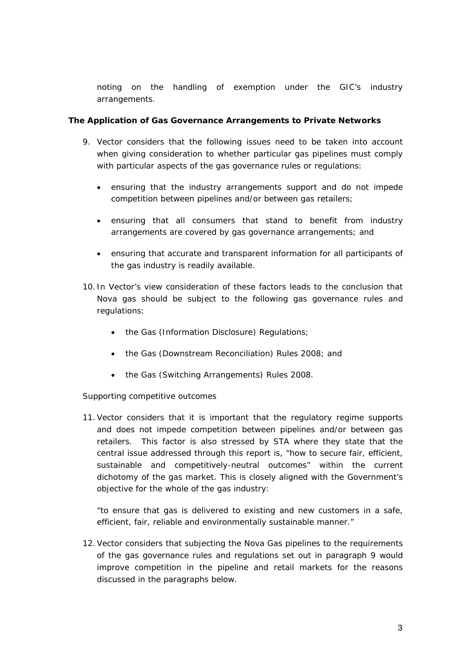noting on the handling of exemption under the GIC's industry arrangements.

## **The Application of Gas Governance Arrangements to Private Networks**

- 9. Vector considers that the following issues need to be taken into account when giving consideration to whether particular gas pipelines must comply with particular aspects of the gas governance rules or regulations:
	- ensuring that the industry arrangements support and do not impede competition between pipelines and/or between gas retailers;
	- ensuring that all consumers that stand to benefit from industry arrangements are covered by gas governance arrangements; and
	- ensuring that accurate and transparent information for all participants of the gas industry is readily available.
- 10. In Vector's view consideration of these factors leads to the conclusion that Nova gas should be subject to the following gas governance rules and regulations:
	- the Gas (Information Disclosure) Regulations;
	- the Gas (Downstream Reconciliation) Rules 2008; and
	- the Gas (Switching Arrangements) Rules 2008.

# *Supporting competitive outcomes*

11.Vector considers that it is important that the regulatory regime supports and does not impede competition between pipelines and/or between gas retailers. This factor is also stressed by STA where they state that the central issue addressed through this report is, "how to secure fair, efficient, sustainable and competitively-neutral outcomes" within the current dichotomy of the gas market. This is closely aligned with the Government's objective for the whole of the gas industry:

"*to ensure that gas is delivered to existing and new customers in a safe, efficient, fair, reliable and environmentally sustainable manner."*

12.Vector considers that subjecting the Nova Gas pipelines to the requirements of the gas governance rules and regulations set out in paragraph 9 would improve competition in the pipeline and retail markets for the reasons discussed in the paragraphs below.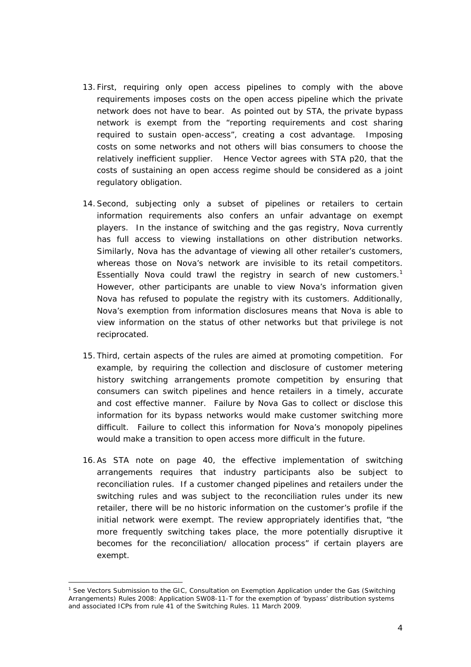- 13. First, requiring only open access pipelines to comply with the above requirements imposes costs on the open access pipeline which the private network does not have to bear. As pointed out by STA, the private bypass network is exempt from the "reporting requirements and cost sharing required to sustain open-access", creating a cost advantage. Imposing costs on some networks and not others will bias consumers to choose the relatively inefficient supplier. Hence Vector agrees with STA p20, that the costs of sustaining an open access regime should be considered as a joint regulatory obligation.
- 14.Second, subjecting only a subset of pipelines or retailers to certain information requirements also confers an unfair advantage on exempt players. In the instance of switching and the gas registry, Nova currently has full access to viewing installations on other distribution networks. Similarly, Nova has the advantage of viewing all other retailer's customers, whereas those on Nova's network are invisible to its retail competitors. Essentially Nova could trawl the registry in search of new customers.<sup>1</sup> However, other participants are unable to view Nova's information given Nova has refused to populate the registry with its customers. Additionally, Nova's exemption from information disclosures means that Nova is able to view information on the status of other networks but that privilege is not reciprocated.
- 15. Third, certain aspects of the rules are aimed at promoting competition. For example, by requiring the collection and disclosure of customer metering history switching arrangements promote competition by ensuring that consumers can switch pipelines and hence retailers in a timely, accurate and cost effective manner. Failure by Nova Gas to collect or disclose this information for its bypass networks would make customer switching more difficult. Failure to collect this information for Nova's monopoly pipelines would make a transition to open access more difficult in the future.
- 16.As STA note on page 40, the effective implementation of switching arrangements requires that industry participants also be subject to reconciliation rules. If a customer changed pipelines and retailers under the switching rules and was subject to the reconciliation rules under its new retailer, there will be no historic information on the customer's profile if the initial network were exempt. The review appropriately identifies that, "the more frequently switching takes place, the more potentially disruptive it becomes for the reconciliation/ allocation process" if certain players are exempt.

i

<sup>&</sup>lt;sup>1</sup> See Vectors Submission to the GIC, *Consultation on Exemption Application under the Gas (Switching Arrangements) Rules 2008: Application SW08-11-T for the exemption of 'bypass' distribution systems and associated ICPs from rule 41 of the Switching Rules*. 11 March 2009.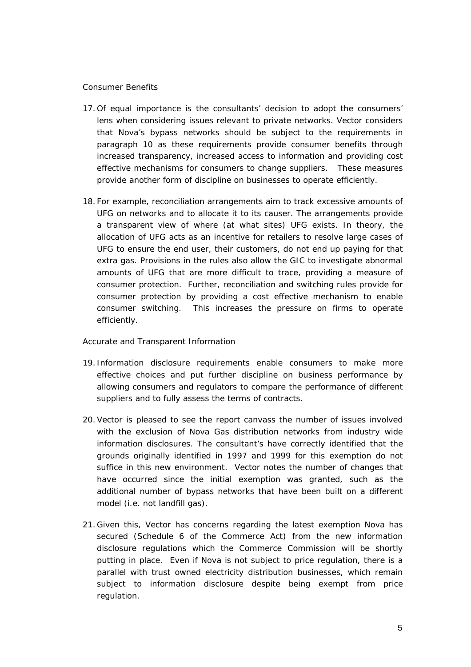#### *Consumer Benefits*

- 17. Of equal importance is the consultants' decision to adopt the consumers' lens when considering issues relevant to private networks. Vector considers that Nova's bypass networks should be subject to the requirements in paragraph 10 as these requirements provide consumer benefits through increased transparency, increased access to information and providing cost effective mechanisms for consumers to change suppliers. These measures provide another form of discipline on businesses to operate efficiently.
- 18. For example, reconciliation arrangements aim to track excessive amounts of UFG on networks and to allocate it to its causer. The arrangements provide a transparent view of where (at what sites) UFG exists. In theory, the allocation of UFG acts as an incentive for retailers to resolve large cases of UFG to ensure the end user, their customers, do not end up paying for that extra gas. Provisions in the rules also allow the GIC to investigate abnormal amounts of UFG that are more difficult to trace, providing a measure of consumer protection. Further, reconciliation and switching rules provide for consumer protection by providing a cost effective mechanism to enable consumer switching. This increases the pressure on firms to operate efficiently.

### *Accurate and Transparent Information*

- 19. Information disclosure requirements enable consumers to make more effective choices and put further discipline on business performance by allowing consumers and regulators to compare the performance of different suppliers and to fully assess the terms of contracts.
- 20.Vector is pleased to see the report canvass the number of issues involved with the exclusion of Nova Gas distribution networks from industry wide information disclosures. The consultant's have correctly identified that the grounds originally identified in 1997 and 1999 for this exemption do not suffice in this new environment. Vector notes the number of changes that have occurred since the initial exemption was granted, such as the additional number of bypass networks that have been built on a different model (i.e. not landfill gas).
- 21. Given this, Vector has concerns regarding the latest exemption Nova has secured (Schedule 6 of the Commerce Act) from the new information disclosure regulations which the Commerce Commission will be shortly putting in place. Even if Nova is not subject to price regulation, there is a parallel with trust owned electricity distribution businesses, which remain subject to information disclosure despite being exempt from price regulation.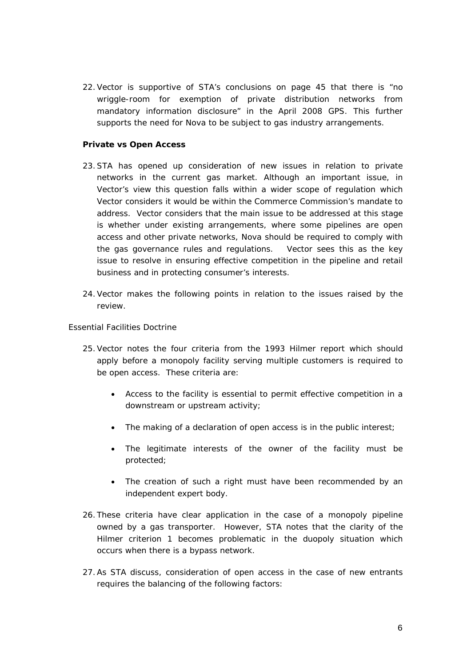22.Vector is supportive of STA's conclusions on page 45 that there is "no wriggle-room for exemption of private distribution networks from mandatory information disclosure" in the April 2008 GPS. This further supports the need for Nova to be subject to gas industry arrangements.

### **Private vs Open Access**

- 23.STA has opened up consideration of new issues in relation to private networks in the current gas market. Although an important issue, in Vector's view this question falls within a wider scope of regulation which Vector considers it would be within the Commerce Commission's mandate to address. Vector considers that the main issue to be addressed at this stage is whether under existing arrangements, where some pipelines are open access and other private networks, Nova should be required to comply with the gas governance rules and regulations. Vector sees this as the key issue to resolve in ensuring effective competition in the pipeline and retail business and in protecting consumer's interests.
- 24.Vector makes the following points in relation to the issues raised by the review.

### *Essential Facilities Doctrine*

- 25.Vector notes the four criteria from the 1993 Hilmer report which should apply before a monopoly facility serving multiple customers is required to be open access. These criteria are:
	- Access to the facility is essential to permit effective competition in a downstream or upstream activity;
	- The making of a declaration of open access is in the public interest;
	- The legitimate interests of the owner of the facility must be protected;
	- The creation of such a right must have been recommended by an independent expert body.
- 26. These criteria have clear application in the case of a monopoly pipeline owned by a gas transporter. However, STA notes that the clarity of the Hilmer criterion 1 becomes problematic in the duopoly situation which occurs when there is a bypass network.
- 27.As STA discuss, consideration of open access in the case of new entrants requires the balancing of the following factors: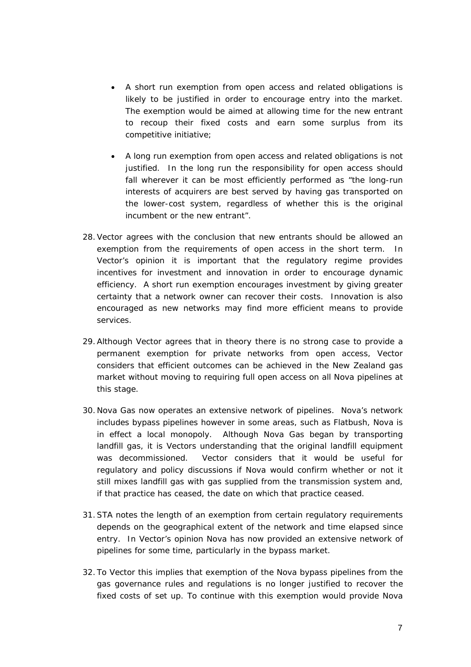- A short run exemption from open access and related obligations is likely to be justified in order to encourage entry into the market. The exemption would be aimed at allowing time for the new entrant to recoup their fixed costs and earn some surplus from its competitive initiative;
- A long run exemption from open access and related obligations is not justified. In the long run the responsibility for open access should fall wherever it can be most efficiently performed as "the long-run interests of acquirers are best served by having gas transported on the lower-cost system, regardless of whether this is the original incumbent or the new entrant".
- 28.Vector agrees with the conclusion that new entrants should be allowed an exemption from the requirements of open access in the short term. In Vector's opinion it is important that the regulatory regime provides incentives for investment and innovation in order to encourage dynamic efficiency. A short run exemption encourages investment by giving greater certainty that a network owner can recover their costs. Innovation is also encouraged as new networks may find more efficient means to provide services.
- 29.Although Vector agrees that in theory there is no strong case to provide a permanent exemption for private networks from open access, Vector considers that efficient outcomes can be achieved in the New Zealand gas market without moving to requiring full open access on all Nova pipelines at this stage.
- 30. Nova Gas now operates an extensive network of pipelines. Nova's network includes bypass pipelines however in some areas, such as Flatbush, Nova is in effect a local monopoly. Although Nova Gas began by transporting landfill gas, it is Vectors understanding that the original landfill equipment was decommissioned. Vector considers that it would be useful for regulatory and policy discussions if Nova would confirm whether or not it still mixes landfill gas with gas supplied from the transmission system and, if that practice has ceased, the date on which that practice ceased.
- 31.STA notes the length of an exemption from certain regulatory requirements depends on the geographical extent of the network and time elapsed since entry. In Vector's opinion Nova has now provided an extensive network of pipelines for some time, particularly in the bypass market.
- 32. To Vector this implies that exemption of the Nova bypass pipelines from the gas governance rules and regulations is no longer justified to recover the fixed costs of set up. To continue with this exemption would provide Nova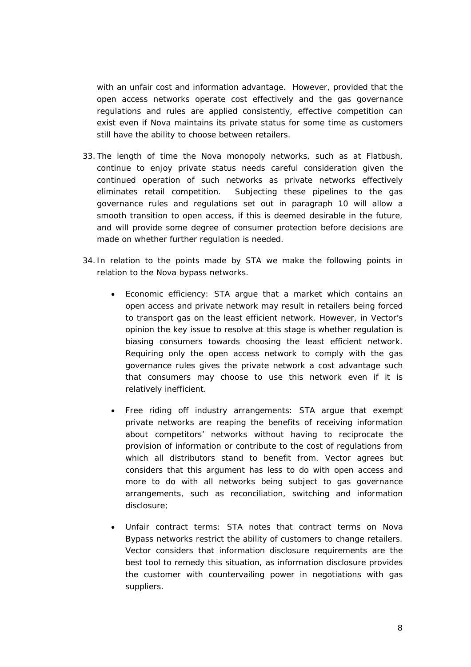with an unfair cost and information advantage. However, provided that the open access networks operate cost effectively and the gas governance regulations and rules are applied consistently, effective competition can exist even if Nova maintains its private status for some time as customers still have the ability to choose between retailers.

- 33. The length of time the Nova monopoly networks, such as at Flatbush, continue to enjoy private status needs careful consideration given the continued operation of such networks as private networks effectively eliminates retail competition. Subjecting these pipelines to the gas governance rules and regulations set out in paragraph 10 will allow a smooth transition to open access, if this is deemed desirable in the future, and will provide some degree of consumer protection before decisions are made on whether further regulation is needed.
- 34. In relation to the points made by STA we make the following points in relation to the Nova bypass networks.
	- Economic efficiency: STA argue that a market which contains an open access and private network may result in retailers being forced to transport gas on the least efficient network. However, in Vector's opinion the key issue to resolve at this stage is whether regulation is biasing consumers towards choosing the least efficient network. Requiring only the open access network to comply with the gas governance rules gives the private network a cost advantage such that consumers may choose to use this network even if it is relatively inefficient.
	- Free riding off industry arrangements: STA argue that exempt private networks are reaping the benefits of receiving information about competitors' networks without having to reciprocate the provision of information or contribute to the cost of regulations from which all distributors stand to benefit from. Vector agrees but considers that this argument has less to do with open access and more to do with all networks being subject to gas governance arrangements, such as reconciliation, switching and information disclosure;
	- Unfair contract terms: STA notes that contract terms on Nova Bypass networks restrict the ability of customers to change retailers. Vector considers that information disclosure requirements are the best tool to remedy this situation, as information disclosure provides the customer with countervailing power in negotiations with gas suppliers.